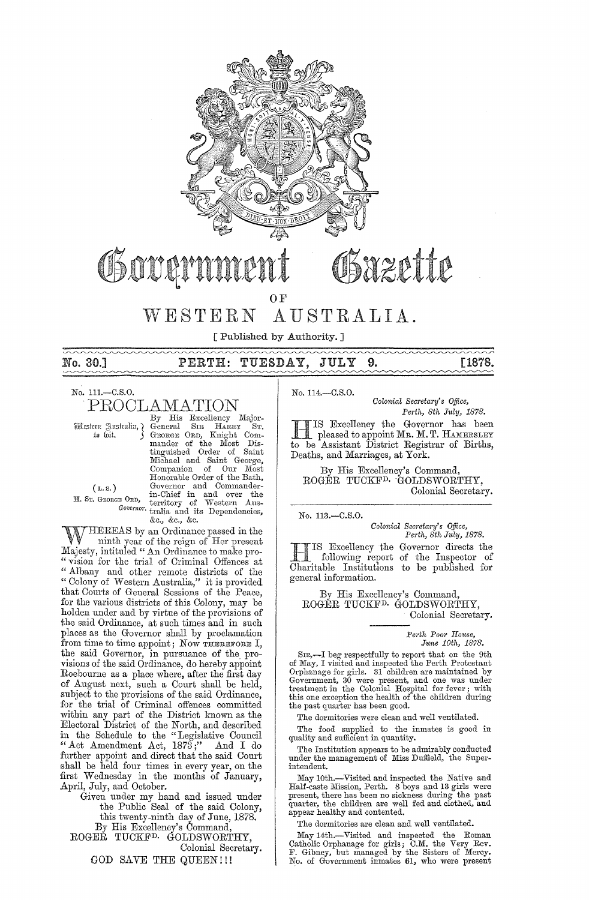

# Fazette Gova OF

# WESTERN AUSTRALIA.

[Published by Authority. ]

# No. 30.] PERTH: TUESDAY, JULY **9.** [1878.

No. l11.-C.S.O.

 $\operatorname{PROCLAMATION}\limits_{{\mathcal{B}}_{{\mathcal{B}}}} \operatorname{His} \ \operatorname{Excellency}\limits_{{\mathcal{B}}_{{\mathcal{B}}}\subset {\mathcal{B}}} \ \operatorname{Bing} \ \operatorname{Sir} \ \operatorname{Bing} \ \operatorname{Bir} \ \operatorname{Birr} \ \operatorname{Birr} \ \operatorname{Birr} \ \operatorname{Birr} \ \operatorname{Birr} \ \operatorname{Birr} \ \operatorname{Birr} \ \operatorname{Birr} \ \operatorname{Birr} \ \operatorname{Birr} \ \operatorname{Birr} \ \operatorname{Birr} \ \operatorname{Birr} \ \$ By His Excellency Major-IRt£,fcm g\llfitxaliU,} General SIR HARRY ST. tu wit. GEORGE ORD, Knight Commander of the Most Dis-<br>tinguished Order of Saint<br>Michael and Saint George, Companion of Our Most Honorable Order of the Bath, (*L. S.*) Governor and Commander-<br>
H. Sr. GEORGE ORD, territory of Western Aus-*Governo)'.* tralia and its Dependencies, &c., &c" &c.

WHEREAS by an Ordinance passed in the ninth year of the reign of Her present Majesty, intituled " An Ordinance to make pro-"vision for the trial of Criminal Offences at "Albany and other remote districts of the " Colony of Western Australia," it is provided that Courts of General Sessions of the Peace, for the various districts of this Colony, may be holden under and by virtue of the provisions of the said Ordinance, at such times and in such places as the Governor shall by proclamation from time to time appoint; Now THEREFORE I, the said Governor, in pursuance of the provisions of the said Ordinance, do hereby appoint Roebourne as a place where, after the first day of August next, such a Court shall be held, subject to the provisions of the said Ordinance, for the trial of Criminal offences committed within any part of the District known as the Electoral District of the North, and described in the Schedule to the "Legislative Council "Act Amendment Act, 1873;" And I do further appoint and direct that the said Court shall be held four times in every year, on the first Wednesday in the months of January, April, July, and October.

Given under my hand and issued under the Public Seal of the said Colony, this twenty-ninth day of June, 1878. By His Excellency's Command,

ROGEŘ TUCKF<sup>D,</sup> GOLDSWORTHY, Colonial Secretary.

GOD SAVE THE QUEEN!!!

No. 114,-C.S.O.

*Colonial Secretary's Office,* Perth, 8th July, 1878.

TIS Excellency the Governor has been pleased to appoint MR. M. T. HAMERSLEY to be Assistant District Registrar of Births, Deaths, and Marriages, at York.

By His Excellency's Command, ROGER TUCKFD, 'GOLDSWORTHY, Colonial Secretary.

No, 113.-C.S.0.

*Colonial Sec;'eta;'y's Office, Pe,·th, 8th July, 1878.* 

**HIS Excellency the Governor directs the**<br>
following report of the Inspector of<br>
Charitable Institutions to be published for following report of the Inspector of Charitable Institutions to be published for general information.

By His Excellency's Command, ROGER TUCKFD. GOLDSWORTHY, Colonial Secretary,

> *Pel'th POOl' House, June 10th, 1878.*

SIR<sub>3</sub>—I beg respectfully to report that on the 9th<br>of May, I visited and inspected the Perth Protestant<br>Orphanage for girls. 31 children are maintained by<br>Government, 30 were present, and one was under<br>treatment in the C the past quarter has been good.

The dormitories were clean and well ventilated.

The food supplied to the inmates is good in quality and sufficient in quantity.

The Institution appears to be admirably conducted under the management of Miss Duffield, the Superintendent.

May 10th.~Visited and inspected the Native and Half-caste Mission, Perth. 8 boys and 13 girls were present, there has been no sickness during the past quarter, the children are well fed and clothed, and appear healthy and contented.

The dormitories are clean and well ventilated.

May 14th.-Visited and inspected the Roman Catholic Orphanage for girls; C,M, the Very Rev. F. Gibney, but managed by the Sisters of Mercy. No. of Government inmates 61, who were present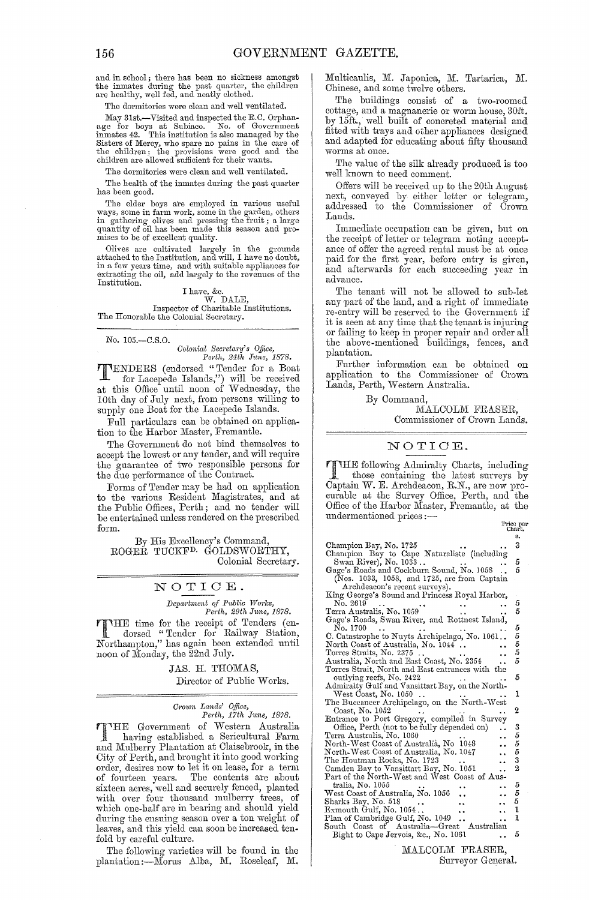and in school; there has been no sickness amongst the inmates during the past quarter, the children are healthy, well fed, and neatly clothed.

The dormitories were clean and well ventilated.

May 31st.-Visited and inspected the R.C. Orphan-age for boys at Subiaco. No. of Government inmates 42. This institution is also managed by the Sisters of Mercy, who spare no pains in the care of the children; the provisions were good and the children are allowed sufficient for their wants.

The dormitories were clean and well ventilated.

The health of the inmates during the past quarter has been good.

The elder boys are employed in various useful ways, some in farm work, some in the garden, others<br>in gathering olives and pressing the fruit ; a large<br>quantity of oil has been made this season and promises to be of excellent quality.

Olives are cultivated largely in the grounds attached to the Institution, and will, I have no doubt, in a few years time, and with suitable appliances for extracting the oil, add largely to the revenues of the Institution.

# I have, &c. W. DALE,

Inspector of Charitable Institutions. The Honorable the Colonial Secretary.

No. lO5.-C.S.0.

*Oolonial Bec)'eta1'Y's Office, Perth, 24th J1tne, 1878.* 

TENDERS (endorsed "Tender for a Boat for Lacepede Islands,") will be received at this Office until noon of Wednesday, the lOth day of July next, from persons willing to supply one Boat for the Lacepede Islands.

Full particulars can be obtained on application to the Harbor Master, Fremantle.

The Government do not bind themselves to accept the lowest or any tender, and will require the guarantee of two responsible persons for the due performance of the Contract.

Forms of Tender may be had on application to the various Resident Magistrates, and at the Public Offices, Perth; and no tender will be entertained unless rendered on the prescribed form.

By His Excellency's Command, ROGER TUCKFD. GOLDSWORTHY, Colonial Secretary.

NOTIOE\_

*Department of Public Works, Perth, 29th June, 1878. Perth, 29th Jltne, 1878.* 

**THE** time for the receipt of Tenders (en-<br>dorsed "Tender for Railway Station, Northampton," has again been extended until noon of Monday, the 22nd July.

> JAS. H. THOMAS, Director of Public Works.

# *Crown Lands' Office,*<br>Perth, 17th June, 1878.

THE Government of Western Australia<br>having established a Sericultural Farm<br>and Malbourn Plantation at Chicabuook in the having established a Sericultural Farm and Mulberry Plantation at Claisebrook, in the City of Perth, and brought it into good working order, desires now to let it on lease, for a term of fourteen years. The contents are about sixteen acres, well and securely fenced, planted with over four thousand mulberry trees, of which one-half are in bearing and should yield during the ensuing season over a ton weight of leaves, and this yield can soon be increased tenfold by careful culture.

The following varieties will be found in the plantation :- Morus Alba, M. Roseleaf, M. Multicaulis, M. Japonica, M. Tartarica, M. Chinese, and some twelve others.

The buildings consist of a two-roomed cottage, and a magnanerie or worm house, 30ft. by 15ft., well built of concreted material and fitted with trays and other appliances designed and adapted for educating about fifty thousand worms at once.

The value of the silk already produced is too well known to need comment.

Offers will be received up to the 20th August next, conveyed by either letter or telegram, addressed to the Commissioner of Crown Lands.

Immediate occupation can be given, but on the receipt of letter or telegram noting acceptance of offer the agreed rental must be at once paid for the first year, before entry is given, and afterwards for each succeeding year in advance.

The tenant will not be allowed to sub-let any part of the land, and a right of immediate re-entry will be reserved to the Government if it is seen at any time that the tenant is injuring or failing to keep in proper repair and order all the above-mentioned buildings, fences, and plantation.

Further information can be obtained on application to the Commissioner of Crown Lands, Perth, Western Australia.

By Command,

MALCOLM FRASER, Commissioner of Crown Lands.

### NOTIOE.

THE following Admiralty Charts, including<br>those containing the latest surveys by<br>Captain W. E. Architecture B.N. and real real Captain W. E. Archdeacon, R.N., are now procurable at the Survey Office, Perth, and the Office of the Harbor Master, Fremantle, at the undermentioned prices :—<br>
Price per Chart.

|                                                                   | s.             |
|-------------------------------------------------------------------|----------------|
| Champion Bay, No. 1725                                            | 3              |
| Champion Bay to Cape Naturaliste (including Swan River), No. 1033 |                |
|                                                                   | 5              |
| Gage's Roads and Cockburn Sound, No. 1058                         | 5              |
| (Nos. 1033, 1058, and 1725, are from Captain                      |                |
| Archdeacon's recent surveys).                                     |                |
| King George's Sound and Princess Royal Harbor,                    |                |
| No. 2619                                                          | 5              |
| Terra Australis, No. 1059                                         | 5              |
| Gage's Roads, Swan River, and Rottnest Island,                    |                |
| No. 1700                                                          | 5              |
| C. Catastrophe to Nuyts Archipelago, No. 1061                     | 5              |
|                                                                   | 5              |
| North Coast of Australia, No. 1044                                | 5              |
| Torres Straits, No. 2375                                          |                |
| Australia, North and East Coast, No. 2354                         | 5              |
| Torres Strait, North and East entrances with the                  |                |
| outlying reefs, No. 2422                                          | 5              |
| Admiralty Gulf and Vansittart Bay, on the North-                  |                |
| West Coast, No. 1050                                              | ı              |
| The Buccaneer Archipelago, on the North-West                      |                |
| Coast, No. 1052                                                   | 2              |
| Entrance to Port Gregory, compiled in Survey                      |                |
| Office, Perth (not to be fully depended on)                       | 3              |
| Terra Australis, No. 1060                                         | 5              |
| North-West Coast of Australia, No. 1048                           | 5              |
| North-West Coast of Australia, No. 1047                           | 5              |
| The Houtman Rocks, No. 1723                                       | 3              |
| Camden Bay to Vansittart Bay, No. 1051                            | $\overline{2}$ |
| Part of the North-West and West Coast of Aus-                     |                |
| tralia, No. 1055                                                  | 5              |
| West Coast of Australia, No. 1056                                 | 5              |
| Sharks Bay, No. 518                                               | 5              |
|                                                                   | 1              |
| Exmouth Gulf, No. 1054                                            | $\mathbf{1}$   |
| Plan of Cambridge Gulf, No. 1049                                  |                |
| South Coast of Australia—Great<br>Australian                      | 5              |
| Bight to Cape Jervois, &c., No. 1061                              |                |

MALCOLM FRASER, Surveyor General.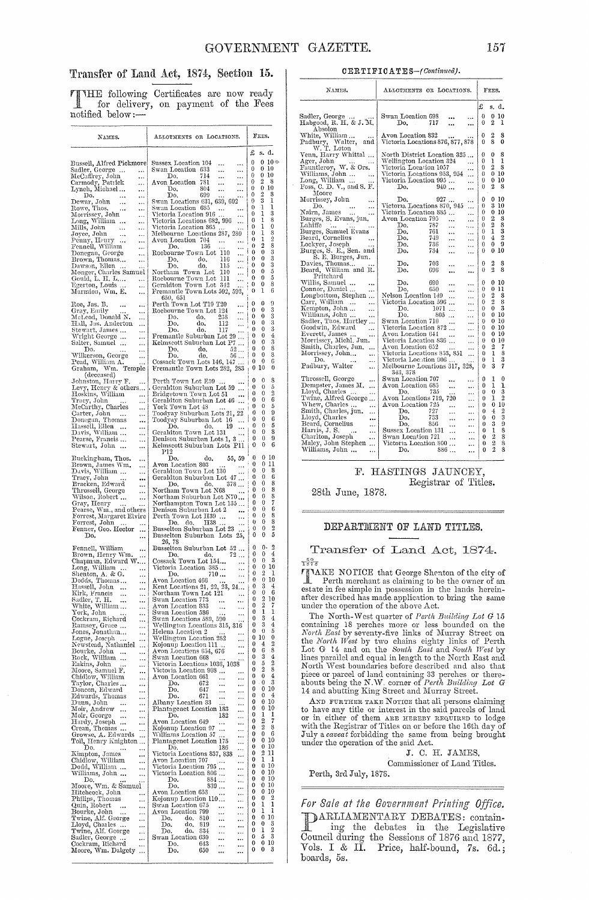## Transfer of Land Act, 1874, Section 15.

TTHE following Certificates are now ready for delivery, on payment of the Fees notified below:-

| NAMES.                                                                        | ALLOTMENTS OR LOCATIONS.                                                                                   | FEES.                                                |
|-------------------------------------------------------------------------------|------------------------------------------------------------------------------------------------------------|------------------------------------------------------|
|                                                                               |                                                                                                            | £<br>s. d.                                           |
| Bussell, Alfred Pickmore                                                      | Sussex Location 104<br><br>                                                                                | $10 \Leftrightarrow$<br>0<br>0                       |
| $\cdots$                                                                      | Swan Location 633<br><br>                                                                                  | 0<br>10<br>0<br>0<br>$^{10}$                         |
| Sadler, George<br>McCaffrey, John<br>Carmody, Patrick<br>$\cdots$<br>$\cdots$ | 714<br>Do,<br><br><br>Avon Location<br>781<br><br>                                                         | 0<br>$\overline{2}$<br>8<br>0                        |
| Lynch, Michael<br><br>Do,                                                     | 804<br>Do,<br><br><br>699<br>Do.                                                                           | 0<br>10<br>0<br>$\overline{2}$<br>8<br>0             |
| $\ldots$<br>Dewar, John<br>Rowe, Thos<br>$\ddotsc$<br>                        | Swan Locations 631, 639, 692                                                                               | 3<br>1<br>0                                          |
| $\cdots$<br><br>                                                              | Swan Location 685<br><br>$\ddot{z}$<br>Victoria Location 916<br>                                           | 1<br>ı<br>0<br>3<br>ı<br>0                           |
| Morrissey, John<br>Long, William<br>Mills, John<br>                           | Victoria Locations 682, 996<br><br>Victoria Location 865                                                   | 8<br>1<br>0<br>0<br>l<br>0                           |
| <br>Joyce, John<br>Penny, Henry<br>                                           | .<br>Melbourne Locations 287, 289                                                                          | 8<br>1<br>0                                          |
| <br>Fennell, William<br>                                                      | Avon Location 704<br>$\ldots$<br>136<br>Do.                                                                | $\overline{2}$<br>1<br>0<br>8<br>2<br>0              |
| Donegan, George<br>Brown, Thomas<br>Dawson, Ellen<br>Monger, Charles Samuel   | j<br>Roebourne Town Lot 110<br><br>116<br>Do.<br>do,                                                       | $\bf{0}$<br>3<br>0<br>3<br>0<br>0                    |
|                                                                               | ç.,<br>115<br>Do.<br>do.<br>                                                                               | 3<br>0<br>0                                          |
| Gould, L. H. L<br>$\ldots$                                                    | Northam Town Lot<br>110<br>                                                                                | 5<br>0<br>0<br>5<br>0<br>0                           |
| Egerton, Louis<br>                                                            | Rochmann Town Lot 110<br>Roebourne Town Lot 111<br>Geraldton Town Lot 342<br>Fremantle Town Lots 592, 593, | 8<br>0<br>0<br>6<br>0<br>1                           |
| Marmion, Wm. E.<br>                                                           | 650, 651<br>Perth Town Lot T19 T20                                                                         |                                                      |
| Roe, Jas. B.<br><br>Gray, Emily<br>                                           | $\cdots$<br>Roebourne Town Lot 124<br>                                                                     | 9<br>0<br>0<br>3<br>0<br>0                           |
| McLeod, Donald N <b>.</b><br>                                                 | 238<br>Do.<br>do.<br><br>Do.<br>do,<br>112                                                                 | 3<br>0<br>0<br>3<br>0<br>0                           |
| Hall, Jas. Anderton<br><br>Stewart, James<br>                                 | <br>do.<br>Do.<br>117                                                                                      | 3<br>0<br>0                                          |
| Wright George<br><br>Salter, Samuel …<br>$\cdots$                             | Fremantle Suburban Lot 29<br>Kelmscott Suburban Lot P7<br>$\ldots$                                         | 4<br>0<br>0<br>3<br>0<br>0                           |
| D٥.<br><br>.                                                                  | 52<br>Do.<br>do.                                                                                           | 8<br>0<br>0<br>8<br>0<br>0                           |
| Wilkerson, George<br><br>Pead, William A.<br>.                                | Do.<br>do.<br>56<br>Cossack Town Lots 146, 147                                                             | 6<br>0<br>0                                          |
| Graham, Wm.<br>Temple<br>(deceased)                                           | Fremantle Town Lots 282, 283                                                                               | 0<br>10<br>0                                         |
| Johnston, Harry F.<br>                                                        | Perth Town Lot E59<br>$\cdots$                                                                             | 8<br>0<br>0<br>5<br>0<br>0                           |
| Levy, Henry & others<br>Hoskins, William<br>$\cdots$                          | Geraldton Suburban Lot 59<br>Bridgetown Town Lot 51                                                        | 2<br>0<br>0                                          |
| Tracy, John<br><br>McCarthy, Charles<br>                                      | Geraldton Suburban Lot 46<br>York Town Lot 48                                                              | 6<br>0<br>0<br>5<br>0<br>0                           |
| Carter, John<br>$\cdots$                                                      | Toodyay Suburban Lots 21, 22                                                                               | 9<br>0<br>0<br>6<br>0<br>0                           |
| Donegan, Thomas<br>Hassell, Ellen<br>Davis, William<br><br>                   | Toodyay Suburban Lot 16<br>Do.<br>19<br>do.                                                                | 5<br>0<br>0                                          |
| .,,<br>Pearse, Francis<br>                                                    | Geraldton Town Lot 131<br>Denison Suburban Lots 1, 3<br>Kelmseoft Suburban Lots 1, 3                       | s<br>0<br>0<br>9<br>0<br>0                           |
| Stewart, John<br>                                                             | Kelmscott Suburban Lots P11                                                                                | 6<br>0<br>0                                          |
| Buckingham, Thos.<br>                                                         | P12<br>Do.<br>55, 59<br>do,                                                                                | 0<br>0<br>10                                         |
| Brown, James Wm.<br>Davis, William<br>Tracy, John<br><br>                     | Avon Location 803<br>Geraldton Town Lot 130                                                                | 0<br>0<br>11<br>8<br>0<br>0                          |
|                                                                               | Geraldton Suburban Lot 47<br>Do.                                                                           | 0<br>6<br>0<br>8<br>0<br>0                           |
| Bracken, Edward<br>Throssell, George<br><br>                                  | 378<br>Do. do.<br>Northam Town Lot N68                                                                     | 8<br>0<br>0                                          |
| Wilson, Robert<br><br>Gray, Henry                                             | Northam Suburban Lot N70<br>Northampton Town Lot 135                                                       | 8<br>0<br>0<br>7<br>0<br>0                           |
| Pearse, Wm., and others<br>Forrest, Margaret Elvire                           | Denison Suburban Lot 2<br><br>Perth Town Lot H39                                                           | $\boldsymbol{6}$<br>0<br>0<br>8<br>0<br>0            |
| Forrest, John<br>Fenner, Geo. Hector                                          | <br>Do. do.<br>$_{\rm H38}$<br>$\ddotsc$<br>                                                               | 8<br>0<br>0<br>$\overline{2}$<br>0                   |
| <br>Do.<br>                                                                   | Busselton Suburban Lot 23<br>Busselton Suburban Lots 25,                                                   | 0<br>5<br>0<br>0                                     |
| Fennell, William<br>                                                          | 26, 78<br>Busselton Suburban Lot 52                                                                        | 2<br>0<br>0,                                         |
| Brown, Henry Wm.<br><br>Chapman, Edward W                                     | 72<br>Do. do.<br>Cossack Town Lot 154<br>$\ddotsc$                                                         | 4<br>0<br>0<br>3<br>0<br>0                           |
| Long, William<br>$\cdots$                                                     | Victoria Location 385<br>                                                                                  | 10<br>0<br>0<br>$\overline{2}$<br>0<br>1             |
| Shenton, A. & G.<br>Dodds, Thomas<br><br>                                     | Do.<br>710<br><br>Avon Location 466<br>                                                                    | 0<br>10<br>0                                         |
| Hassell, John<br><br>Kirk, Francis<br>                                        | Kent Locations 21, 22, 23, 24<br>Northam Town Lot 121<br>$\cdots$                                          | 3<br>0<br>4<br>0<br>6<br>0                           |
| Sadler, T. H.<br>White, William<br>$\ddotsc$                                  | Swan Location 773                                                                                          | 2<br>10<br>0<br>$\overline{2}$<br>7<br>0             |
| <br>York, John<br>                                                            | Avon Location 833<br><br><br>Swan Location 586<br>                                                         | ı<br>1<br>0                                          |
| Cockram, Richard<br><br>Ramsey, Grace<br>                                     | Swan Locations 589, 590<br><br>Wellington Locations 315, 316                                               | 3<br>4<br>0<br>3<br>4<br>0                           |
| Jones, Jonathan…<br>                                                          | Helena Location 2<br>                                                                                      | 5<br>0<br>0<br>$\bf{0}$<br>10<br>0                   |
| Logue, Joseph<br>$\ddots$<br><br>Newstead, Nathaniel<br>است                   | Wellington Location 282<br><br>Kojonup Location 111<br>                                                    | $\overline{2}$<br>4<br>0                             |
| Bourke, John<br>Rock, William<br><br>                                         | Avon Locations 654, 676<br><br>Swan Location 668<br>                                                       | 8<br>0<br>6<br>3<br>4<br>0                           |
| Eakins, John<br>                                                              | Victoria Locations 1036, 1038                                                                              | $\overline{2}$<br>5<br>0<br>$\overline{2}$<br>8<br>0 |
| Moore, Samuel F.<br><br>Chidlow, William<br>                                  | Victoria Location 908<br><br>Avon Location 661<br><br>                                                     | 0<br>4<br>0                                          |
| Taylor, Charles<br><br>Doncon, Edward<br>                                     | Do.<br>672<br><br><br>647<br>Do,<br>$\ddotsc$<br>                                                          | 3<br>0<br>0<br>0<br>0<br>10                          |
| Edwards, Thomas<br>$\ddotsc$                                                  | Do.<br>671<br><br>                                                                                         | 0<br>0<br>4<br>0<br>0<br>10                          |
| Dunn, John<br>$\ddotsc$<br><br>Moir, Andrew<br><br>                           | Albany Location 33<br><br>Plantagenet Location 183<br>                                                     | 0<br>0<br>10                                         |
| Moir, George<br>$\cdots$<br>                                                  | 182<br>Do.<br><br>Avon Location 649<br>.<br>                                                               | 0<br>ı<br>1<br>2<br>7<br>0                           |
| Hardy, Joseph<br>Crean, Thomas<br>                                            | Kojonup Location 97<br>$\cdots$<br>                                                                        | $\overline{2}$<br>8<br>0<br>0<br>0<br>6              |
| Growse, A. Edwards<br><br>Toll, Henry Knighton                                | Williams Location 57<br><br>Plantagenet Location 175<br>                                                   | 0<br>0<br>10                                         |
| Do.<br><br>$\cdots$                                                           | Do,<br>186<br>$\cdots$<br>Victoria Locations 837, 838<br>                                                  | 0<br>0<br>10<br>$\boldsymbol{2}$<br>0<br>11          |
| Kimpton, James<br>Chidlow, William<br>Dodd, William<br>                       | Avon Location 707<br>$\cdots$<br>$\cdots$                                                                  | ı<br>0<br>1<br>10<br>0<br>0                          |
| <br>Williams, John<br>                                                        | Victoria Location 795<br><br>Victoria Location 806<br>                                                     | 0<br>0<br>10                                         |
| Do.<br>Moore, Wm. & Samuel                                                    | 884<br>Do.<br><br>839<br>Do.<br>                                                                           | 0<br>0<br>10<br>0<br>0<br>10                         |
| Hitchcock, John<br>                                                           | Avon Location 653<br><br>$\cdots$<br>Kojonup Location 110                                                  | 0<br>0<br>10<br>$\boldsymbol{2}$<br>0<br>0           |
| Philips, Thomas<br>$\cdots$<br>Quin, Robert<br>$\cdots$<br>$\ddotsc$          | <br>Swan Location 675<br><br>$\cdots$                                                                      | 1<br>0<br>ı                                          |
| Bourke, John<br>$\cdots$<br>$\cdots$<br>Twine, Alf. George<br>                | Avon Location 799<br><br><br>Do.<br>do. 810<br><br>                                                        | 0<br>ı<br>1<br>0<br>0<br>10                          |
| Lloyd, Charles<br>$\cdots$                                                    | 819<br>Do.<br>do.<br><br><br>Do.<br>0.834                                                                  | 0<br>0<br>3<br>$\overline{2}$<br>0<br>ı              |
| Twine, Alf. George<br><br>Sadler, George<br>                                  | <br><br>Swan Location 630<br><br>                                                                          | 3<br>0<br>5                                          |
| Cockram, Richard<br><br>Moore, Wm. Dalgety<br>$\cdots$                        | Do.<br>643<br><br><br>D٥.<br>650<br>$\cdots$<br>                                                           | 0<br>0<br>10<br>0<br>0<br>3                          |

#### CERTIFICATES-(Continued).

| NAMES.                                              | ALLOTMENTS OR LOCATIONS.                                           | FEES.  |                                |                     |
|-----------------------------------------------------|--------------------------------------------------------------------|--------|--------------------------------|---------------------|
|                                                     |                                                                    | £      | s.                             | đ.                  |
|                                                     | Swan Location 698                                                  | 0      | $\bf{0}$                       | 10                  |
| Sadler, George<br>Habgood, R. H. & J. M.            | 717<br>Do.<br>                                                     | 0      | 2                              | 1                   |
| Absolon                                             |                                                                    |        |                                |                     |
| White, William                                      | Avon Location 832                                                  | 0      | 2                              | 8                   |
| Padbury, Walter,<br>and                             | Victoria Locations 876, 877, 878                                   | 0      | 8                              | 0                   |
| W. T. Loton                                         |                                                                    |        |                                |                     |
| Venn, Harry Whittal                                 | North District Location 325                                        | 0<br>0 | 0<br>ı                         | 8<br>1              |
| Ager, John<br>Fauntleroy, W. & Ors.                 | Wellington Location 324<br><br>Victoria Location 1057              | 0      | 2                              | 8                   |
| Williams, John                                      | Victoria Locations 953, 954                                        | 0      |                                | $0\,10$             |
| <br>Long, William<br>                               | <br>Victoria Location 995<br>                                      | 0      |                                | $0\,10$             |
| Foss, C. D. V., and S. F.                           | Do.<br>940<br>                                                     | 0      | 2                              | 8                   |
| Moore                                               |                                                                    |        |                                |                     |
| Morrissey, John<br>                                 | 927<br>Do.<br>                                                     | 0      | 0                              | 10                  |
| Do,<br><br>$\ldots$                                 | Victoria Locations 870, 945<br>$\ddotsc$                           | 0      | 3                              | 10                  |
| Nairn, James<br>$\ddotsc$                           | Victoria Location 885<br>.                                         | 0      |                                | 0 <sub>10</sub>     |
| Burges, S. Evans, jun.                              | Avon Location 795<br>$\ddotsc$<br>.                                | 0      | 2                              | S                   |
| $\sim$<br>П.,<br>Lahiffe<br>                        | 787<br>Do.<br>$\ddotsc$<br>$\ddotsc$                               | 0      | $\overline{2}$<br>$\mathbf{1}$ | 8                   |
| Burges, Samuel Evans                                | 761<br>Do.<br>$\cdots$<br><br>$\mathcal{L}_{\mathcal{A}}$          | 0      | 4                              | 3<br>$\overline{2}$ |
| Beard, Cornelius<br>                                | 749<br>Do.<br>$\cdots$<br><br>736<br>Do.                           | 0<br>0 | 0                              | 9                   |
| Lockyer, Joseph<br><br>Burges, S. E., Sen. and      | <br><br>734<br>Do.                                                 | 0      | 0                              | 10                  |
| S. E. Burges, Jun.                                  | <br>$\cdots$                                                       |        |                                |                     |
| Davies, Thomas                                      | 703<br>Do.<br><br>$\cdots$                                         | 0      | 2                              | S                   |
| Beard, William and R.                               | Do.<br>696<br><br>$\ddotsc$                                        | o      | $\overline{2}$                 | 8                   |
| Pritchard                                           |                                                                    |        |                                |                     |
| Willis, Samuel<br>$\ddotsc$                         | Do.<br>690<br>$\cdots$<br>$\ddotsc$                                | 0      | 0                              | -10                 |
| Connor, Daniel<br>                                  | Do.<br>650<br><br>                                                 | 0      | 0                              | -11                 |
| Longbottom, Stephen                                 | Nelson Location 149<br><br>                                        | 0      | 2                              | 8                   |
| Carr, William<br>.                                  | Victoria Location 596<br>                                          | 0      | $\overline{2}$                 | 8<br>3              |
| Kempton, John<br>                                   | 1071<br>Do.<br>                                                    | 0<br>0 | 0                              | 0 10                |
| Williams, John<br><br>Sadler, Thos. Hartley         | Do.<br>805<br>.<br>Swan Location 710                               | 0      |                                | 0 10                |
| Goodwin, Edward<br>$\ddotsc$                        | $\cdots$<br>$\ddotsc$<br>Victoria Location 872<br>.                | 0      |                                | 0 10                |
| Everett, James<br>                                  | Avon Location 644<br>$\cdots$<br>                                  | 0      | 0                              | -10                 |
| Morrissey, Michl. Jun.                              | Victoria Location 836<br>                                          | 0      |                                | $0\,$ $10$          |
| Smith, Charles, Jun.<br>                            | Avon Location 652<br>                                              | 0      | 2                              | 7                   |
| Morrissey, John<br>$\cdots$                         | Victoria Locations 853, 851<br>                                    | 0      | 1                              | 8                   |
| Do.<br>                                             | Victoria Location 906                                              | 0      | 1                              | 3                   |
| Padbury, Walter<br>                                 | Melbourne Locations 317, 328,<br>343, 378                          | 0      | 3                              | 7                   |
| Throssell, George<br>                               | Swan Location 707<br><br>                                          | 0      | 1                              | $\mathbf 0$         |
| Dempster, James M.<br>                              | Avon Location 685<br>$\ddotsc$<br>$\ddotsc$                        | 0      | 1                              | 1                   |
| Lloyd, Charles<br>                                  | Do.<br>735<br>.<br>$\ddotsc$                                       | 0      | 0                              | 3                   |
| Twine, Alfred George                                | Avon Locations 719, 720<br>                                        | 0      | 1                              | 2                   |
| Whew, Charles<br>                                   | Avon Location 725<br>$\cdots$<br>                                  | 0      | $\bf{0}$                       | 10                  |
| Smith, Charles, jun.<br>                            | Do.<br>727<br><br>$\ddotsc$                                        | 0      | 4                              | $\boldsymbol{2}$    |
| Lloyd, Charles<br>                                  | 733<br>Do.<br><br>$\ddotsc$                                        | 0      | $\theta$                       | â                   |
| Beard, Cornelius<br>                                | 856<br>Do.<br>$\ddotsc$<br>$\cdots$                                | 0      | 3                              | ç                   |
| Harris, J. S.<br>$\sim$<br>                         | Sussex Location 131<br>$\cdots$<br>$\cdots$                        | 0      | ı                              | ξ<br>g              |
| Charlton, Joseph<br>$\cdots$<br>Maley, John Stephen | Swan Location 721<br>$\cdots$<br>$\cdots$<br>Victoria Location 800 | 0<br>0 | $\frac{2}{2}$                  | ξ                   |
| Williams, John                                      | $\cdots$<br>Do.<br>886                                             | 0      | $\overline{2}$                 | ξ                   |
|                                                     |                                                                    |        |                                |                     |

### F. HASTINGS JAUNCEY. Registrar of Titles.

28th June, 1878.

### DEPARTMENT OF LAND TITLES.

Transfer of Land Act, 1874.  $\frac{50}{1878}$ 

**FIAKE NOTICE** that George Shenton of the city of<br>Perth merchant as claiming to be the owner of an Perth merchant as claiming to be the owner of an<br>estate in fee simple in possession in the lands herein-<br>after described has made application to bring the same<br>under the operation of the above Act.

The North-West quarter of Perth Building Lot  $G$  15 The North-West quarter of *Perth Building Lot G* 15<br>containing 18 perches more or less bounded on the<br>*North East* by seventy-five links of Murray Street on<br>the *North West* by two chains eighty links of Perth<br>Lot G 14 an piece or parcel of land containing 33 perches or there-<br>abouts being the N.W. corner of Perth Building Lot G 14 and abutting King Street and Murray Street.

AND FURTHER TAKE NOTICE that all persons claiming to have any title or interest in the said parcels of land or in either of them are hereby required to lodge with the Registrar of Titles on or before the 16th day of July a *caveat* forbidding the same from being brought under the operation of the said Act.

J. C. H. JAMES, Commissioner of Land Titles. Perth, 3rd July, 1878.

For Sale at the Government Printing Office. DARLIAMENTARY DEBATES: contain-<br>ing the debates in the Legislative<br>Council during the Sessions of 1876 and 1877, Vols. I & II. Price, half-bound, 7s. 6d.; boards, 5s.